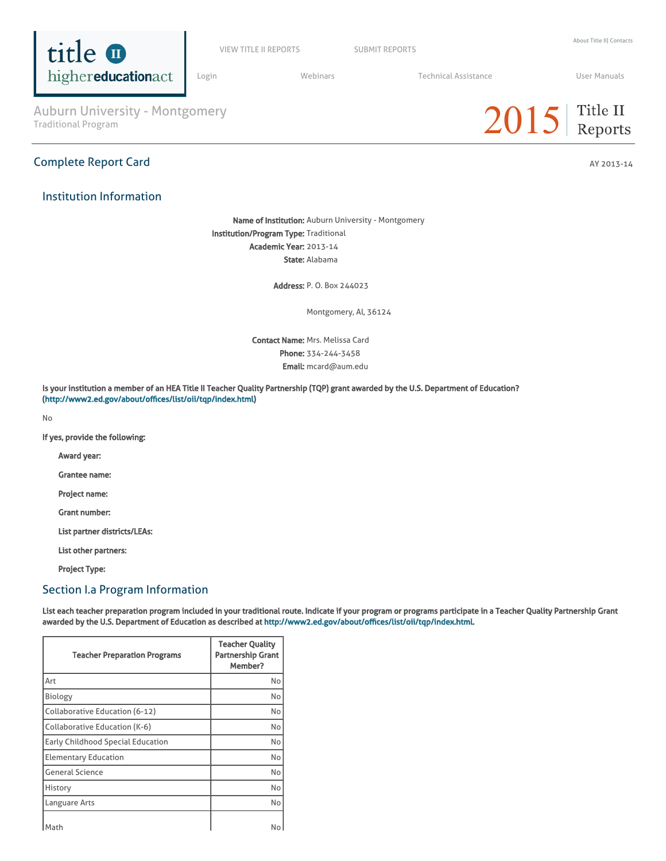

VIEW TITLE II [REPORTS](https://title2.ed.gov/Public/Login.aspx) SUBMIT REPORTS

[Login](https://title2.ed.gov/Public/Login.aspx) **Manual Medinars** Technical [Assistance](https://title2.ed.gov/Public/TA.aspx) **Technical Assistance** User [Manuals](https://title2.ed.gov/Public/Manuals.aspx)

Auburn University - Montgomery<br>Traditional Program

# Complete Report Card AY 2013-14

# Institution Information

Name of Institution: Auburn University - Montgomery Institution/Program Type: Traditional Academic Year: 2013-14 State: Alabama

Address: P. O. Box 244023

Montgomery, Al, 36124

Contact Name: Mrs. Melissa Card Phone: 334-244-3458 Email: mcard@aum.edu

Is your institution a member of an HEA Title II Teacher Quality Partnership (TQP) grant awarded by the U.S. Department of Education? (<http://www2.ed.gov/about/offices/list/oii/tqp/index.html>)

No

If yes, provide the following:

Award year:

Grantee name:

Project name:

Grant number:

List partner districts/LEAs:

List other partners:

Project Type:

## Section I.a Program Information

List each teacher preparation program included in your traditional route. Indicate if your program or programs participate in a Teacher Quality Partnership Grant awarded by the U.S. Department of Education as described at [http://www2.ed.gov/about/offices/list/oii/tqp/index.html.](http://www2.ed.gov/about/offices/list/oii/tqp/index.html)

| <b>Teacher Preparation Programs</b> | <b>Teacher Quality</b><br><b>Partnership Grant</b><br>Member? |
|-------------------------------------|---------------------------------------------------------------|
| Art                                 | No                                                            |
| Biology                             | No                                                            |
| Collaborative Education (6-12)      | No                                                            |
| Collaborative Education (K-6)       | No                                                            |
| Early Childhood Special Education   | No                                                            |
| <b>Elementary Education</b>         | No                                                            |
| <b>General Science</b>              | No                                                            |
| History                             | No                                                            |
| Languare Arts                       | No                                                            |
| Math                                | No                                                            |

# $2015$  Title II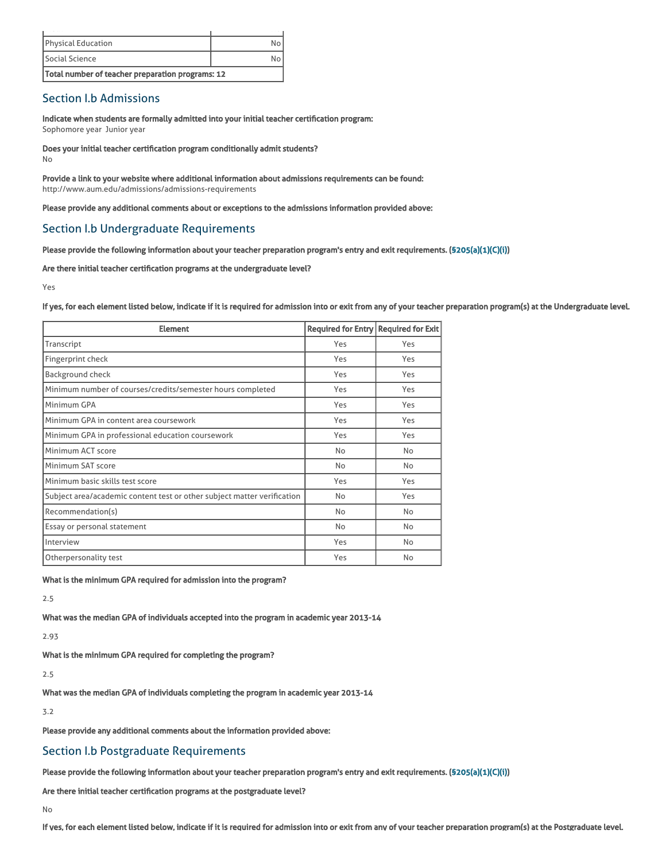| Total number of teacher preparation programs: 12 |  |
|--------------------------------------------------|--|
| Social Science                                   |  |
| <b>Physical Education</b>                        |  |
|                                                  |  |

# Section I.b Admissions

Indicate when students are formally admitted into your initial teacher certification program: Sophomore year Junior year

Does your initial teacher certification program conditionally admit students? No

Provide a link to your website where additional information about admissions requirements can be found: http://www.aum.edu/admissions/admissions-requirements

Please provide any additional comments about or exceptions to the admissions information provided above:

# Section I.b Undergraduate Requirements

Please provide the following information about your teacher preparation program's entry and exit requirements. [\(§205\(a\)\(1\)\(C\)\(i\)](http://frwebgate.access.gpo.gov/cgi-bin/getdoc.cgi?dbname=110_cong_public_laws&docid=f:publ315.110.pdf))

Are there initial teacher certification programs at the undergraduate level?

Yes

If yes, for each element listed below, indicate if it is required for admission into or exit from any of your teacher preparation program(s) at the Undergraduate level.

| <b>Element</b>                                                          | Required for Entry Required for Exit |     |
|-------------------------------------------------------------------------|--------------------------------------|-----|
| Transcript                                                              | Yes                                  | Yes |
| Fingerprint check                                                       | Yes                                  | Yes |
| Background check                                                        | Yes                                  | Yes |
| Minimum number of courses/credits/semester hours completed              | Yes                                  | Yes |
| Minimum GPA                                                             | Yes                                  | Yes |
| Minimum GPA in content area coursework                                  | Yes                                  | Yes |
| Minimum GPA in professional education coursework                        | Yes                                  | Yes |
| Minimum ACT score                                                       | No                                   | No  |
| Minimum SAT score                                                       | No                                   | No  |
| Minimum basic skills test score                                         | Yes                                  | Yes |
| Subject area/academic content test or other subject matter verification | No                                   | Yes |
| Recommendation(s)                                                       | No                                   | No  |
| Essay or personal statement                                             | No                                   | No  |
| Interview                                                               | Yes                                  | No  |
| Otherpersonality test                                                   | Yes                                  | No  |

What is the minimum GPA required for admission into the program?

2.5

What was the median GPA of individuals accepted into the program in academic year 2013-14

2.93

What is the minimum GPA required for completing the program?

2.5

What was the median GPA of individuals completing the program in academic year 2013-14

3.2

Please provide any additional comments about the information provided above:

# Section I.b Postgraduate Requirements

Please provide the following information about your teacher preparation program's entry and exit requirements. [\(§205\(a\)\(1\)\(C\)\(i\)](http://frwebgate.access.gpo.gov/cgi-bin/getdoc.cgi?dbname=110_cong_public_laws&docid=f:publ315.110.pdf))

Are there initial teacher certification programs at the postgraduate level?

No

If yes, for each element listed below, indicate if it is required for admission into or exit from any of your teacher preparation program(s) at the Postgraduate level.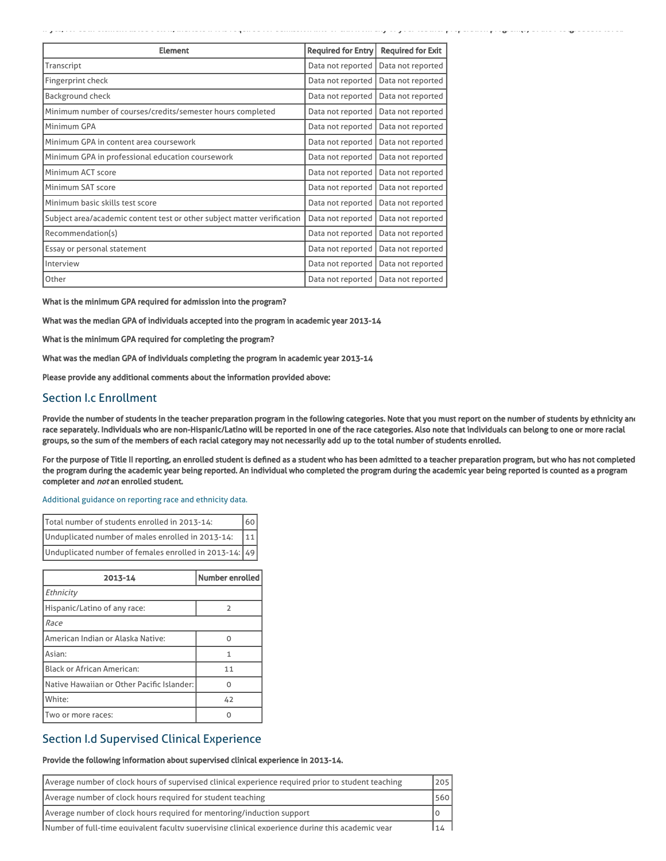| <b>Element</b>                                                          | <b>Required for Entry</b> | <b>Required for Exit</b> |
|-------------------------------------------------------------------------|---------------------------|--------------------------|
| Transcript                                                              | Data not reported         | Data not reported        |
| Fingerprint check                                                       | Data not reported         | Data not reported        |
| <b>Background check</b>                                                 | Data not reported         | Data not reported        |
| Minimum number of courses/credits/semester hours completed              | Data not reported         | Data not reported        |
| Minimum GPA                                                             | Data not reported         | Data not reported        |
| Minimum GPA in content area coursework                                  | Data not reported         | Data not reported        |
| Minimum GPA in professional education coursework                        | Data not reported         | Data not reported        |
| Minimum ACT score                                                       | Data not reported         | Data not reported        |
| Minimum SAT score                                                       | Data not reported         | Data not reported        |
| Minimum basic skills test score                                         | Data not reported         | Data not reported        |
| Subject area/academic content test or other subject matter verification | Data not reported         | Data not reported        |
| Recommendation(s)                                                       | Data not reported         | Data not reported        |
| Essay or personal statement                                             | Data not reported         | Data not reported        |
| Interview                                                               | Data not reported         | Data not reported        |
| Other                                                                   | Data not reported         | Data not reported        |

What is the minimum GPA required for admission into the program?

What was the median GPA of individuals accepted into the program in academic year 2013-14

What is the minimum GPA required for completing the program?

What was the median GPA of individuals completing the program in academic year 2013-14

Please provide any additional comments about the information provided above:

# Section I.c Enrollment

Provide the number of students in the teacher preparation program in the following categories. Note that you must report on the number of students by ethnicity and race separately. Individuals who are non-Hispanic/Latino will be reported in one of the race categories. Also note that individuals can belong to one or more racial groups, so the sum of the members of each racial category may not necessarily add up to the total number of students enrolled.

If yes, for each element listed below, indicate if it is required for admission into or exit from any of your teacher preparation program(s) at the Postgraduate level.

For the purpose of Title II reporting, an enrolled student is defined as a student who has been admitted to a teacher preparation program, but who has not completed the program during the academic year being reported. An individual who completed the program during the academic year being reported is counted as a program completer and not an enrolled student.

[Additional](https://title2.ed.gov/Public/TA/Race_ethnicity.pdf) guidance on reporting race and ethnicity data.

| Total number of students enrolled in 2013-14:            | 60 |
|----------------------------------------------------------|----|
| Unduplicated number of males enrolled in 2013-14:<br>111 |    |
| Unduplicated number of females enrolled in 2013-14: 49   |    |

| 2013-14                                    | Number enrolled |  |  |
|--------------------------------------------|-----------------|--|--|
| Ethnicity                                  |                 |  |  |
| Hispanic/Latino of any race:               | 2               |  |  |
| Race                                       |                 |  |  |
| American Indian or Alaska Native:          |                 |  |  |
| Asian:                                     | 1               |  |  |
| <b>Black or African American:</b>          | 11              |  |  |
| Native Hawaiian or Other Pacific Islander: | U               |  |  |
| White:                                     | 42              |  |  |
| Two or more races:                         |                 |  |  |

# Section I.d Supervised Clinical Experience

## Provide the following information about supervised clinical experience in 2013-14.

| Average number of clock hours of supervised clinical experience required prior to student teaching | 205 <sup>1</sup> |
|----------------------------------------------------------------------------------------------------|------------------|
| Average number of clock hours required for student teaching                                        | 560              |
| Average number of clock hours required for mentoring/induction support                             |                  |
| Number of full-time equivalent faculty supervising clinical experience during this academic year   | 1/2              |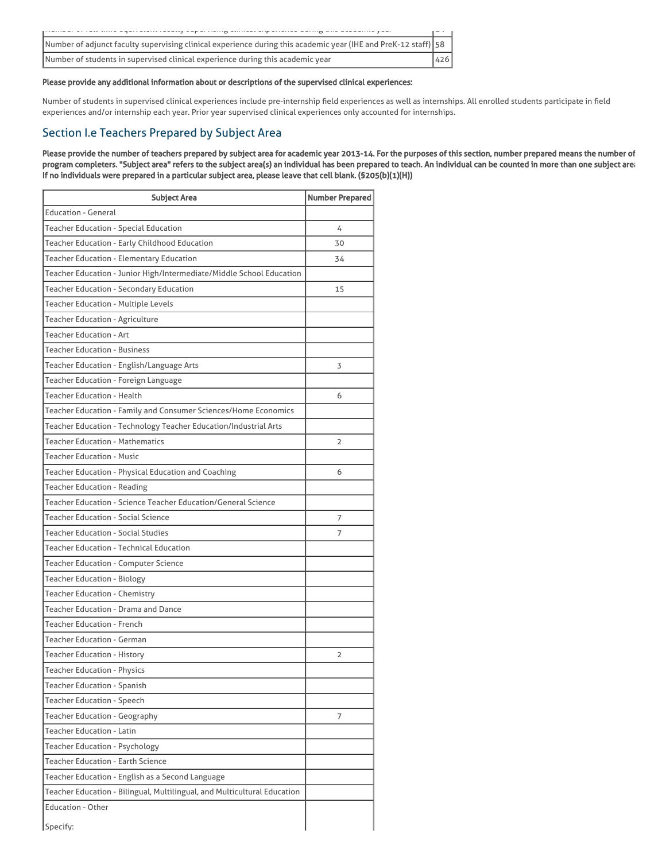| Number of adjunct faculty supervising clinical experience during this academic year (IHE and PreK-12 staff) 58 |     |
|----------------------------------------------------------------------------------------------------------------|-----|
| Number of students in supervised clinical experience during this academic year                                 | 426 |

## Please provide any additional information about or descriptions of the supervised clinical experiences:

Number of students in supervised clinical experiences include pre-internship field experiences as well as internships. All enrolled students participate in field experiences and/or internship each year. Prior year supervised clinical experiences only accounted for internships.

# Section I.e Teachers Prepared by Subject Area

Please provide the number of teachers prepared by subject area for academic year 2013-14. For the purposes of this section, number prepared means the number of program completers. "Subject area" refers to the subject area(s) an individual has been prepared to teach. An individual can be counted in more than one subject area. If no individuals were prepared in a particular subject area, please leave that cell blank. (§205(b)(1)(H))

| <b>Subject Area</b>                                                      | <b>Number Prepared</b> |
|--------------------------------------------------------------------------|------------------------|
| <b>Education - General</b>                                               |                        |
| Teacher Education - Special Education                                    | 4                      |
| Teacher Education - Early Childhood Education                            | 30                     |
| <b>Teacher Education - Elementary Education</b>                          | 34                     |
| Teacher Education - Junior High/Intermediate/Middle School Education     |                        |
| Teacher Education - Secondary Education                                  | 15                     |
| Teacher Education - Multiple Levels                                      |                        |
| Teacher Education - Agriculture                                          |                        |
| <b>Teacher Education - Art</b>                                           |                        |
| <b>Teacher Education - Business</b>                                      |                        |
| Teacher Education - English/Language Arts                                | 3                      |
| Teacher Education - Foreign Language                                     |                        |
| Teacher Education - Health                                               | 6                      |
| Teacher Education - Family and Consumer Sciences/Home Economics          |                        |
| Teacher Education - Technology Teacher Education/Industrial Arts         |                        |
| Teacher Education - Mathematics                                          | $\overline{2}$         |
| Teacher Education - Music                                                |                        |
| Teacher Education - Physical Education and Coaching                      | 6                      |
| <b>Teacher Education - Reading</b>                                       |                        |
| Teacher Education - Science Teacher Education/General Science            |                        |
| <b>Teacher Education - Social Science</b>                                | 7                      |
| <b>Teacher Education - Social Studies</b>                                | 7                      |
| Teacher Education - Technical Education                                  |                        |
| <b>Teacher Education - Computer Science</b>                              |                        |
| <b>Teacher Education - Biology</b>                                       |                        |
| Teacher Education - Chemistry                                            |                        |
| Teacher Education - Drama and Dance                                      |                        |
| <b>Teacher Education - French</b>                                        |                        |
| <b>Teacher Education - German</b>                                        |                        |
| <b>Teacher Education - History</b>                                       | $\overline{2}$         |
| <b>Teacher Education - Physics</b>                                       |                        |
| <b>Teacher Education - Spanish</b>                                       |                        |
| <b>Teacher Education - Speech</b>                                        |                        |
| Teacher Education - Geography                                            | 7                      |
| <b>Teacher Education - Latin</b>                                         |                        |
| <b>Teacher Education - Psychology</b>                                    |                        |
| <b>Teacher Education - Earth Science</b>                                 |                        |
| Teacher Education - English as a Second Language                         |                        |
| Teacher Education - Bilingual, Multilingual, and Multicultural Education |                        |
| <b>Education - Other</b>                                                 |                        |
| Specify:                                                                 |                        |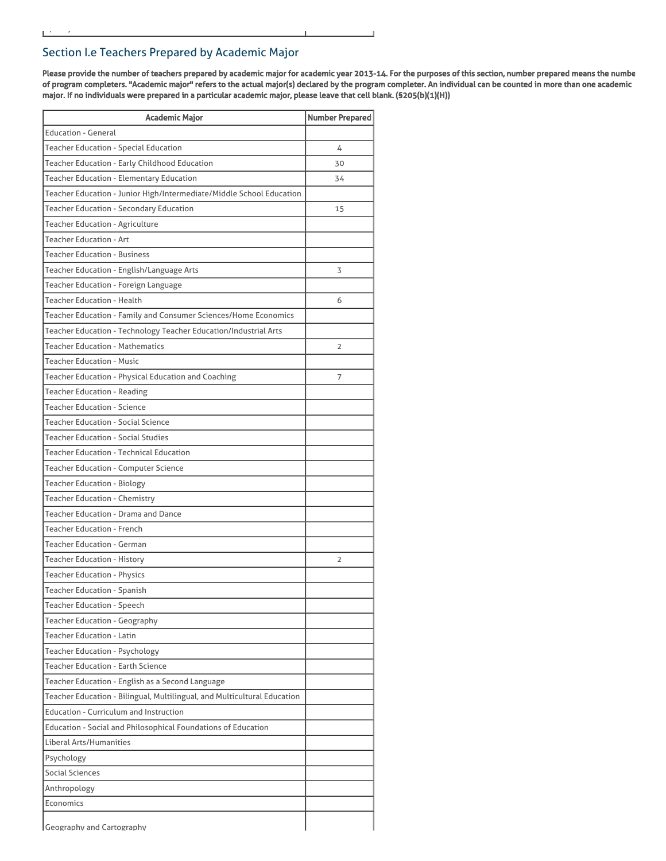Please provide the number of teachers prepared by academic major for academic year 2013-14. For the purposes of this section, number prepared means the numbe of program completers. "Academic major" refers to the actual major(s) declared by the program completer. An individual can be counted in more than one academic major. If no individuals were prepared in a particular academic major, please leave that cell blank. (§205(b)(1)(H))

| Academic Major                                                           | <b>Number Prepared</b> |
|--------------------------------------------------------------------------|------------------------|
| <b>Education - General</b>                                               |                        |
| <b>Teacher Education - Special Education</b>                             | 4                      |
| Teacher Education - Early Childhood Education                            | 30                     |
| <b>Teacher Education - Elementary Education</b>                          | 34                     |
| Teacher Education - Junior High/Intermediate/Middle School Education     |                        |
| Teacher Education - Secondary Education                                  | 15                     |
| <b>Teacher Education - Agriculture</b>                                   |                        |
| <b>Teacher Education - Art</b>                                           |                        |
| <b>Teacher Education - Business</b>                                      |                        |
| Teacher Education - English/Language Arts                                | 3                      |
| Teacher Education - Foreign Language                                     |                        |
| <b>Teacher Education - Health</b>                                        | 6                      |
| Teacher Education - Family and Consumer Sciences/Home Economics          |                        |
| Teacher Education - Technology Teacher Education/Industrial Arts         |                        |
| Teacher Education - Mathematics                                          | $\overline{2}$         |
| <b>Teacher Education - Music</b>                                         |                        |
| Teacher Education - Physical Education and Coaching                      | 7                      |
| Teacher Education - Reading                                              |                        |
| <b>Teacher Education - Science</b>                                       |                        |
| <b>Teacher Education - Social Science</b>                                |                        |
| Teacher Education - Social Studies                                       |                        |
| <b>Teacher Education - Technical Education</b>                           |                        |
| <b>Teacher Education - Computer Science</b>                              |                        |
| <b>Teacher Education - Biology</b>                                       |                        |
| <b>Teacher Education - Chemistry</b>                                     |                        |
| <b>Teacher Education - Drama and Dance</b>                               |                        |
| <b>Teacher Education - French</b>                                        |                        |
| <b>Teacher Education - German</b>                                        |                        |
| <b>Teacher Education - History</b>                                       | $\overline{2}$         |
| <b>Teacher Education - Physics</b>                                       |                        |
| <b>Teacher Education - Spanish</b>                                       |                        |
| <b>Teacher Education - Speech</b>                                        |                        |
| <b>Teacher Education - Geography</b>                                     |                        |
| <b>Teacher Education - Latin</b>                                         |                        |
| <b>Teacher Education - Psychology</b>                                    |                        |
| <b>Teacher Education - Earth Science</b>                                 |                        |
| Teacher Education - English as a Second Language                         |                        |
| Teacher Education - Bilingual, Multilingual, and Multicultural Education |                        |
| <b>Education - Curriculum and Instruction</b>                            |                        |
| Education - Social and Philosophical Foundations of Education            |                        |
| Liberal Arts/Humanities                                                  |                        |
| Psychology                                                               |                        |
| Social Sciences                                                          |                        |
| Anthropology                                                             |                        |
| Economics                                                                |                        |
| Geography and Cartography                                                |                        |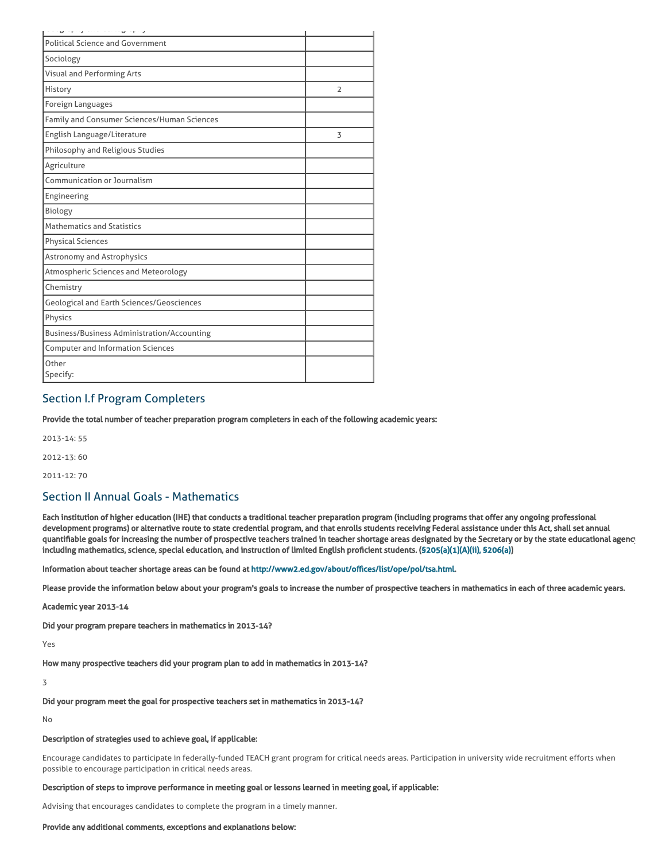| $\circ$ $\cdot$ $\circ$<br>$\cup$ $\cup$           |                |
|----------------------------------------------------|----------------|
| <b>Political Science and Government</b>            |                |
| Sociology                                          |                |
| <b>Visual and Performing Arts</b>                  |                |
| History                                            | $\overline{2}$ |
| Foreign Languages                                  |                |
| Family and Consumer Sciences/Human Sciences        |                |
| English Language/Literature                        | 3              |
| Philosophy and Religious Studies                   |                |
| Agriculture                                        |                |
| Communication or Journalism                        |                |
| Engineering                                        |                |
| Biology                                            |                |
| <b>Mathematics and Statistics</b>                  |                |
| <b>Physical Sciences</b>                           |                |
| Astronomy and Astrophysics                         |                |
| Atmospheric Sciences and Meteorology               |                |
| Chemistry                                          |                |
| <b>Geological and Earth Sciences/Geosciences</b>   |                |
| Physics                                            |                |
| <b>Business/Business Administration/Accounting</b> |                |
| <b>Computer and Information Sciences</b>           |                |
| Other<br>Specify:                                  |                |

# Section I.f Program Completers

Provide the total number of teacher preparation program completers in each of the following academic years:

2013-14: 55

2012-13: 60

2011-12: 70

# Section II Annual Goals - Mathematics

Each institution of higher education (IHE) that conducts a traditional teacher preparation program (including programs that offer any ongoing professional development programs) or alternative route to state credential program, and that enrolls students receiving Federal assistance under this Act, shall set annual quantifiable goals for increasing the number of prospective teachers trained in teacher shortage areas designated by the Secretary or by the state educational agency including mathematics, science, special education, and instruction of limited English proficient students. ([§205\(a\)\(1\)\(A\)\(ii\), §206\(a\)\)](http://frwebgate.access.gpo.gov/cgi-bin/getdoc.cgi?dbname=110_cong_public_laws&docid=f:publ315.110.pdf)

Information about teacher shortage areas can be found at [http://www2.ed.gov/about/offices/list/ope/pol/tsa.html.](http://www2.ed.gov/about/offices/list/ope/pol/tsa.html)

Please provide the information below about your program's goals to increase the number of prospective teachers in mathematics in each of three academic years.

Academic year 2013-14

Did your program prepare teachers in mathematics in 2013-14?

Yes

How many prospective teachers did your program plan to add in mathematics in 2013-14?

3

Did your program meet the goal for prospective teachers set in mathematics in 2013-14?

No

## Description of strategies used to achieve goal, if applicable:

Encourage candidates to participate in federally-funded TEACH grant program for critical needs areas. Participation in university wide recruitment efforts when possible to encourage participation in critical needs areas.

## Description of steps to improve performance in meeting goal or lessons learned in meeting goal, if applicable:

Advising that encourages candidates to complete the program in a timely manner.

## Provide any additional comments, exceptions and explanations below: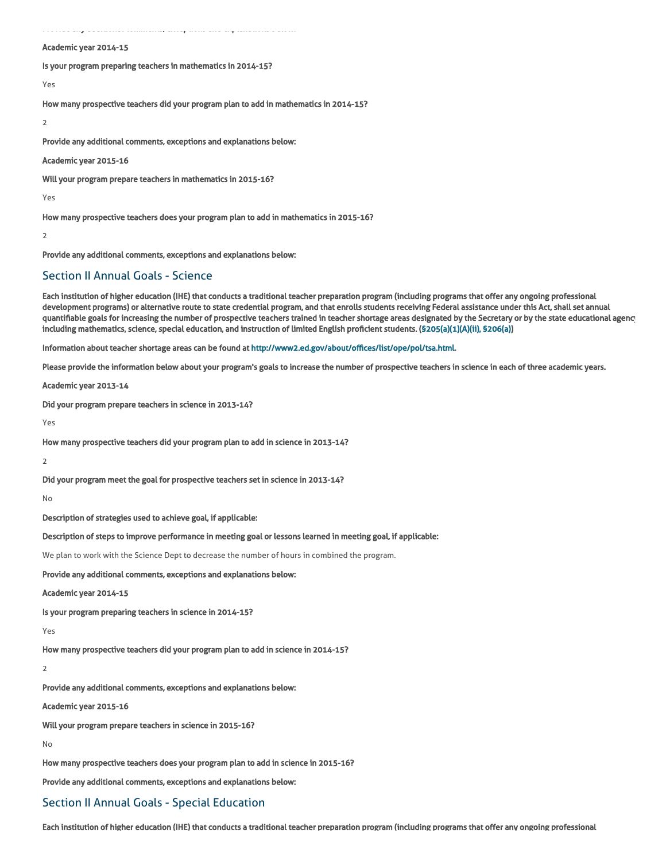Provide any additional comments, exceptions and explanations below:

#### Academic year 2014-15

Is your program preparing teachers in mathematics in 2014-15?

Yes

How many prospective teachers did your program plan to add in mathematics in 2014-15?

#### 2

Provide any additional comments, exceptions and explanations below:

Academic year 2015-16

Will your program prepare teachers in mathematics in 2015-16?

Yes

How many prospective teachers does your program plan to add in mathematics in 2015-16?

#### 2

Provide any additional comments, exceptions and explanations below:

## Section II Annual Goals - Science

Each institution of higher education (IHE) that conducts a traditional teacher preparation program (including programs that offer any ongoing professional development programs) or alternative route to state credential program, and that enrolls students receiving Federal assistance under this Act, shall set annual quantifiable goals for increasing the number of prospective teachers trained in teacher shortage areas designated by the Secretary or by the state educational agency including mathematics, science, special education, and instruction of limited English proficient students. ([§205\(a\)\(1\)\(A\)\(ii\), §206\(a\)\)](http://frwebgate.access.gpo.gov/cgi-bin/getdoc.cgi?dbname=110_cong_public_laws&docid=f:publ315.110.pdf)

Information about teacher shortage areas can be found at [http://www2.ed.gov/about/offices/list/ope/pol/tsa.html.](http://www2.ed.gov/about/offices/list/ope/pol/tsa.html)

Please provide the information below about your program's goals to increase the number of prospective teachers in science in each of three academic years.

Academic year 2013-14

Did your program prepare teachers in science in 2013-14?

Yes

How many prospective teachers did your program plan to add in science in 2013-14?

 $\overline{2}$ 

Did your program meet the goal for prospective teachers set in science in 2013-14?

No

Description of strategies used to achieve goal, if applicable:

## Description of steps to improve performance in meeting goal or lessons learned in meeting goal, if applicable:

We plan to work with the Science Dept to decrease the number of hours in combined the program.

Provide any additional comments, exceptions and explanations below:

## Academic year 2014-15

Is your program preparing teachers in science in 2014-15?

Yes

How many prospective teachers did your program plan to add in science in 2014-15?

 $\overline{2}$ 

Provide any additional comments, exceptions and explanations below:

Academic year 2015-16

Will your program prepare teachers in science in 2015-16?

No

How many prospective teachers does your program plan to add in science in 2015-16?

Provide any additional comments, exceptions and explanations below:

# Section II Annual Goals - Special Education

Each institution of higher education (IHE) that conducts a traditional teacher preparation program (including programs that offer any ongoing professional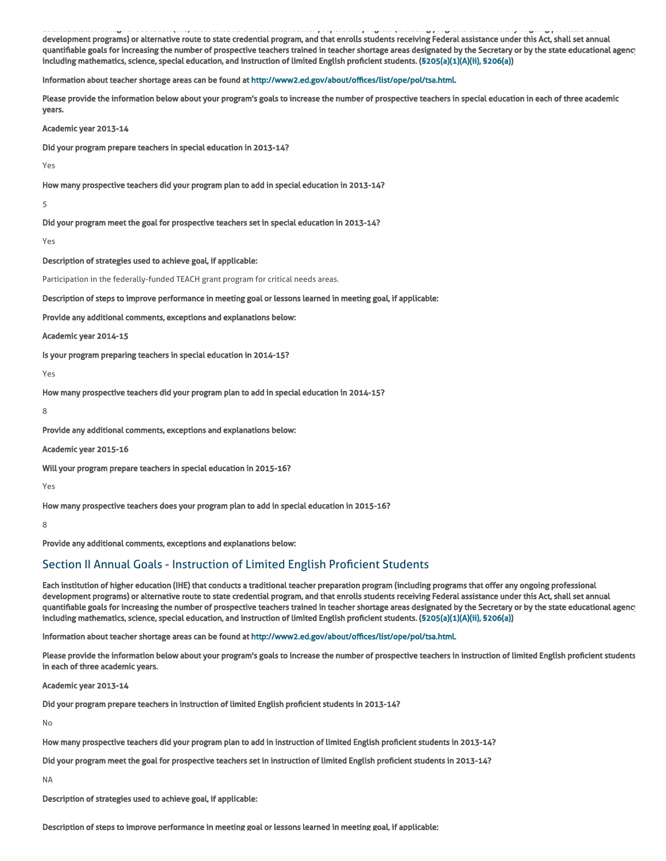Each institution of higher education (IHE) that conducts a traditional teacher preparation program (including programs that offer any ongoing professional development programs) or alternative route to state credential program, and that enrolls students receiving Federal assistance under this Act, shall set annual quantifiable goals for increasing the number of prospective teachers trained in teacher shortage areas designated by the Secretary or by the state educational agency including mathematics, science, special education, and instruction of limited English proficient students. ([§205\(a\)\(1\)\(A\)\(ii\), §206\(a\)\)](http://frwebgate.access.gpo.gov/cgi-bin/getdoc.cgi?dbname=110_cong_public_laws&docid=f:publ315.110.pdf)

Information about teacher shortage areas can be found at [http://www2.ed.gov/about/offices/list/ope/pol/tsa.html.](http://www2.ed.gov/about/offices/list/ope/pol/tsa.html)

Please provide the information below about your program's goals to increase the number of prospective teachers in special education in each of three academic years.

Academic year 2013-14

Did your program prepare teachers in special education in 2013-14?

Yes

How many prospective teachers did your program plan to add in special education in 2013-14?

5

Did your program meet the goal for prospective teachers set in special education in 2013-14?

Yes

Description of strategies used to achieve goal, if applicable:

Participation in the federally-funded TEACH grant program for critical needs areas.

Description of steps to improve performance in meeting goal or lessons learned in meeting goal, if applicable:

Provide any additional comments, exceptions and explanations below:

Academic year 2014-15

Is your program preparing teachers in special education in 2014-15?

Yes

How many prospective teachers did your program plan to add in special education in 2014-15?

8

Provide any additional comments, exceptions and explanations below:

Academic year 2015-16

Will your program prepare teachers in special education in 2015-16?

Yes

How many prospective teachers does your program plan to add in special education in 2015-16?

8

Provide any additional comments, exceptions and explanations below:

# Section II Annual Goals - Instruction of Limited English Proficient Students

Each institution of higher education (IHE) that conducts a traditional teacher preparation program (including programs that offer any ongoing professional development programs) or alternative route to state credential program, and that enrolls students receiving Federal assistance under this Act, shall set annual quantifiable goals for increasing the number of prospective teachers trained in teacher shortage areas designated by the Secretary or by the state educational agency including mathematics, science, special education, and instruction of limited English proficient students. ([§205\(a\)\(1\)\(A\)\(ii\), §206\(a\)\)](http://frwebgate.access.gpo.gov/cgi-bin/getdoc.cgi?dbname=110_cong_public_laws&docid=f:publ315.110.pdf)

Information about teacher shortage areas can be found at [http://www2.ed.gov/about/offices/list/ope/pol/tsa.html.](http://www2.ed.gov/about/offices/list/ope/pol/tsa.html)

Please provide the information below about your program's goals to increase the number of prospective teachers in instruction of limited English proficient students in each of three academic years.

Academic year 2013-14

Did your program prepare teachers in instruction of limited English proficient students in 2013-14?

No

How many prospective teachers did your program plan to add in instruction of limited English proficient students in 2013-14?

Did your program meet the goal for prospective teachers set in instruction of limited English proficient students in 2013-14?

NA

Description of strategies used to achieve goal, if applicable:

Description of steps to improve performance in meeting goal or lessons learned in meeting goal, if applicable: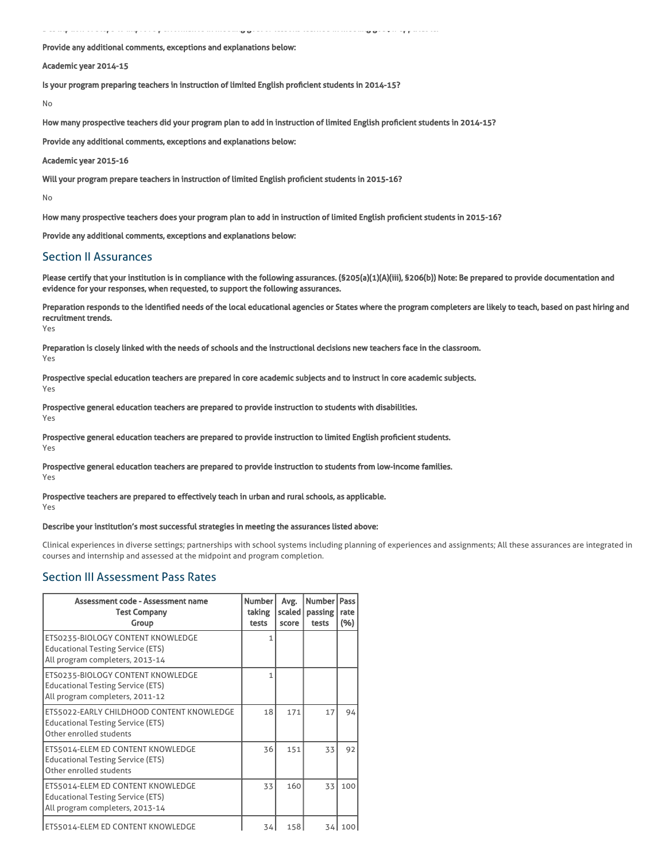Description of steps to improve performance in meeting goal or lessons learned in meeting goal, if applicable:

Provide any additional comments, exceptions and explanations below:

## Academic year 2014-15

Is your program preparing teachers in instruction of limited English proficient students in 2014-15?

No

How many prospective teachers did your program plan to add in instruction of limited English proficient students in 2014-15?

Provide any additional comments, exceptions and explanations below:

Academic year 2015-16

Will your program prepare teachers in instruction of limited English proficient students in 2015-16?

No

How many prospective teachers does your program plan to add in instruction of limited English proficient students in 2015-16?

Provide any additional comments, exceptions and explanations below:

## Section II Assurances

Please certify that your institution is in compliance with the following assurances. (\$205(a)(1)(A)(iii), \$206(b)) Note: Be prepared to provide documentation and evidence for your responses, when requested, to support the following assurances.

Preparation responds to the identified needs of the local educational agencies or States where the program completers are likely to teach, based on past hiring and recruitment trends.

Yes

Yes

Preparation is closely linked with the needs of schools and the instructional decisions new teachers face in the classroom. Yes

Prospective special education teachers are prepared in core academic subjects and to instruct in core academic subjects.

Prospective general education teachers are prepared to provide instruction to students with disabilities. Yes

Prospective general education teachers are prepared to provide instruction to limited English proficient students. Yes

Prospective general education teachers are prepared to provide instruction to students from low-income families.

Yes

## Prospective teachers are prepared to effectively teach in urban and rural schools, as applicable. Yes

## Describe your institution's most successful strategies in meeting the assurances listed above:

Clinical experiences in diverse settings; partnerships with school systems including planning of experiences and assignments; All these assurances are integrated in courses and internship and assessed at the midpoint and program completion.

# Section III Assessment Pass Rates

| Assessment code - Assessment name<br><b>Test Company</b><br>Group                                                | Number<br>taking<br>tests | Avg.<br>scaled<br>score | Number l<br>passing<br>tests | Pass<br>rate<br>(%) |
|------------------------------------------------------------------------------------------------------------------|---------------------------|-------------------------|------------------------------|---------------------|
| ETS0235-BIOLOGY CONTENT KNOWLEDGE<br><b>Educational Testing Service (ETS)</b><br>All program completers, 2013-14 | 1                         |                         |                              |                     |
| ETS0235-BIOLOGY CONTENT KNOWLEDGE<br><b>Educational Testing Service (ETS)</b><br>All program completers, 2011-12 | 1                         |                         |                              |                     |
| ETS5022-EARLY CHILDHOOD CONTENT KNOWLEDGE<br><b>Educational Testing Service (ETS)</b><br>Other enrolled students | 18                        | 171                     | 17                           | 94                  |
| ETS5014-ELEM ED CONTENT KNOWLEDGE<br><b>Educational Testing Service (ETS)</b><br>Other enrolled students         | 36                        | 151                     | 33                           | 92                  |
| ETS5014-ELEM ED CONTENT KNOWLEDGE<br><b>Educational Testing Service (ETS)</b><br>All program completers, 2013-14 | 33                        | 160                     | 33                           | 100                 |
| ETS5014-ELEM ED CONTENT KNOWLEDGE                                                                                | 34                        | 158                     | 34 I                         | 100                 |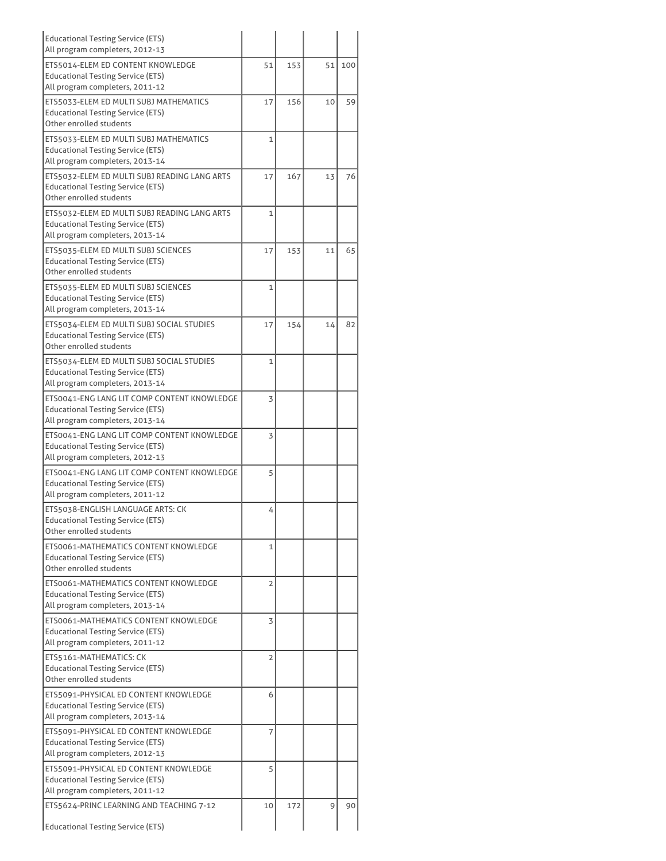| <b>Educational Testing Service (ETS)</b><br>All program completers, 2012-13                                                 |                |     |    |     |
|-----------------------------------------------------------------------------------------------------------------------------|----------------|-----|----|-----|
| ETS5014-ELEM ED CONTENT KNOWLEDGE<br><b>Educational Testing Service (ETS)</b><br>All program completers, 2011-12            | 51             | 153 | 51 | 100 |
| ETS5033-ELEM ED MULTI SUBJ MATHEMATICS<br><b>Educational Testing Service (ETS)</b><br>Other enrolled students               | 17             | 156 | 10 | 59  |
| ETS5033-ELEM ED MULTI SUBJ MATHEMATICS<br><b>Educational Testing Service (ETS)</b><br>All program completers, 2013-14       | $\mathbf{1}$   |     |    |     |
| ETS5032-ELEM ED MULTI SUBJ READING LANG ARTS<br><b>Educational Testing Service (ETS)</b><br>Other enrolled students         | 17             | 167 | 13 | 76  |
| ETS5032-ELEM ED MULTI SUBJ READING LANG ARTS<br><b>Educational Testing Service (ETS)</b><br>All program completers, 2013-14 | 1              |     |    |     |
| ETS5035-ELEM ED MULTI SUBJ SCIENCES<br><b>Educational Testing Service (ETS)</b><br>Other enrolled students                  | 17             | 153 | 11 | 65  |
| ETS5035-ELEM ED MULTI SUBJ SCIENCES<br><b>Educational Testing Service (ETS)</b><br>All program completers, 2013-14          | $\mathbf{1}$   |     |    |     |
| ETS5034-ELEM ED MULTI SUBJ SOCIAL STUDIES<br><b>Educational Testing Service (ETS)</b><br>Other enrolled students            | 17             | 154 | 14 | 82  |
| ETS5034-ELEM ED MULTI SUBJ SOCIAL STUDIES<br><b>Educational Testing Service (ETS)</b><br>All program completers, 2013-14    | $\mathbf{1}$   |     |    |     |
| ETS0041-ENG LANG LIT COMP CONTENT KNOWLEDGE<br><b>Educational Testing Service (ETS)</b><br>All program completers, 2013-14  | 3              |     |    |     |
| ETS0041-ENG LANG LIT COMP CONTENT KNOWLEDGE<br><b>Educational Testing Service (ETS)</b><br>All program completers, 2012-13  | 3              |     |    |     |
| ETS0041-ENG LANG LIT COMP CONTENT KNOWLEDGE<br><b>Educational Testing Service (ETS)</b><br>All program completers, 2011-12  | 5              |     |    |     |
| ETS5038-ENGLISH LANGUAGE ARTS: CK<br><b>Educational Testing Service (ETS)</b><br>Other enrolled students                    | 4              |     |    |     |
| ETS0061-MATHEMATICS CONTENT KNOWLEDGE<br><b>Educational Testing Service (ETS)</b><br>Other enrolled students                | $\mathbf{1}$   |     |    |     |
| ETS0061-MATHEMATICS CONTENT KNOWLEDGE<br><b>Educational Testing Service (ETS)</b><br>All program completers, 2013-14        | $\overline{2}$ |     |    |     |
| ETS0061-MATHEMATICS CONTENT KNOWLEDGE<br><b>Educational Testing Service (ETS)</b><br>All program completers, 2011-12        | 3              |     |    |     |
| ETS5161-MATHEMATICS: CK<br><b>Educational Testing Service (ETS)</b><br>Other enrolled students                              | $\overline{2}$ |     |    |     |
| ETS5091-PHYSICAL ED CONTENT KNOWLEDGE<br><b>Educational Testing Service (ETS)</b><br>All program completers, 2013-14        | 6              |     |    |     |
| ETS5091-PHYSICAL ED CONTENT KNOWLEDGE<br><b>Educational Testing Service (ETS)</b><br>All program completers, 2012-13        | 7              |     |    |     |
| ETS5091-PHYSICAL ED CONTENT KNOWLEDGE<br><b>Educational Testing Service (ETS)</b><br>All program completers, 2011-12        | 5              |     |    |     |
| ETS5624-PRINC LEARNING AND TEACHING 7-12<br><b>Educational Testing Service (ETS)</b>                                        | 10             | 172 | 9  | 90  |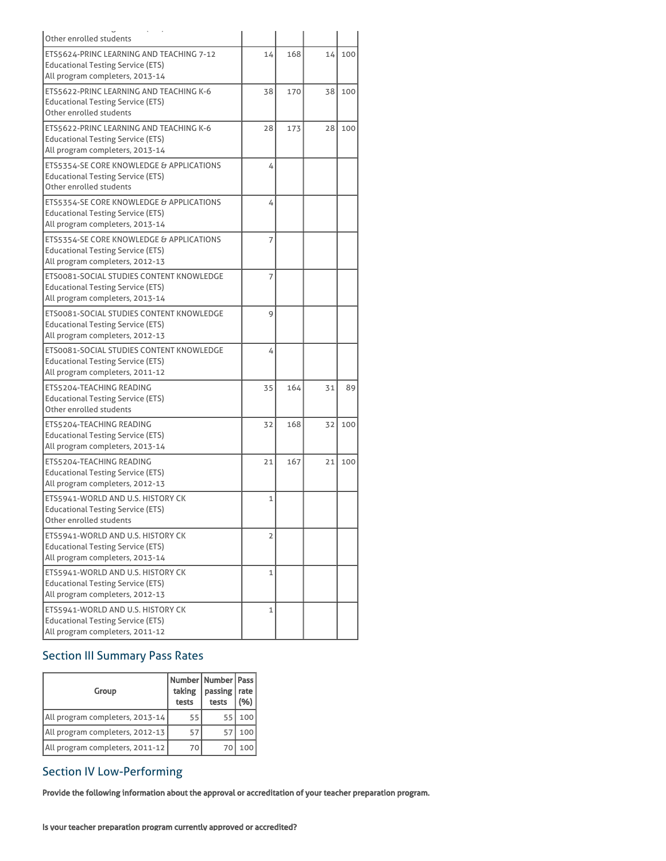| Other enrolled students                                                                                                 |    |     |    |     |
|-------------------------------------------------------------------------------------------------------------------------|----|-----|----|-----|
| ETS5624-PRINC LEARNING AND TEACHING 7-12<br><b>Educational Testing Service (ETS)</b><br>All program completers, 2013-14 | 14 | 168 | 14 | 100 |
| ETS5622-PRINC LEARNING AND TEACHING K-6<br><b>Educational Testing Service (ETS)</b><br>Other enrolled students          | 38 | 170 | 38 | 100 |
| ETS5622-PRINC LEARNING AND TEACHING K-6<br><b>Educational Testing Service (ETS)</b><br>All program completers, 2013-14  | 28 | 173 | 28 | 100 |
| ETS5354-SE CORE KNOWLEDGE & APPLICATIONS<br><b>Educational Testing Service (ETS)</b><br>Other enrolled students         | 4  |     |    |     |
| ETS5354-SE CORE KNOWLEDGE & APPLICATIONS<br><b>Educational Testing Service (ETS)</b><br>All program completers, 2013-14 | 4  |     |    |     |
| ETS5354-SE CORE KNOWLEDGE & APPLICATIONS<br><b>Educational Testing Service (ETS)</b><br>All program completers, 2012-13 | 7  |     |    |     |
| ETS0081-SOCIAL STUDIES CONTENT KNOWLEDGE<br><b>Educational Testing Service (ETS)</b><br>All program completers, 2013-14 | 7  |     |    |     |
| ETS0081-SOCIAL STUDIES CONTENT KNOWLEDGE<br><b>Educational Testing Service (ETS)</b><br>All program completers, 2012-13 | 9  |     |    |     |
| ETS0081-SOCIAL STUDIES CONTENT KNOWLEDGE<br>Educational Testing Service (ETS)<br>All program completers, 2011-12        | 4  |     |    |     |
| ETS5204-TEACHING READING<br><b>Educational Testing Service (ETS)</b><br>Other enrolled students                         | 35 | 164 | 31 | 89  |
| ETS5204-TEACHING READING<br><b>Educational Testing Service (ETS)</b><br>All program completers, 2013-14                 | 32 | 168 | 32 | 100 |
| ETS5204-TEACHING READING<br><b>Educational Testing Service (ETS)</b><br>All program completers, 2012-13                 | 21 | 167 | 21 | 100 |
| ETS5941-WORLD AND U.S. HISTORY CK<br><b>Educational Testing Service (ETS)</b><br>Other enrolled students                | 1  |     |    |     |
| ETS5941-WORLD AND U.S. HISTORY CK<br><b>Educational Testing Service (ETS)</b><br>All program completers, 2013-14        | 2  |     |    |     |
| ETS5941-WORLD AND U.S. HISTORY CK<br><b>Educational Testing Service (ETS)</b><br>All program completers, 2012-13        | 1  |     |    |     |
| ETS5941-WORLD AND U.S. HISTORY CK<br><b>Educational Testing Service (ETS)</b><br>All program completers, 2011-12        | 1  |     |    |     |

# Section III Summary Pass Rates

| Group                           | Number   Number   Pass  <br>taking<br>tests | passing<br>tests | rate<br>(%) |
|---------------------------------|---------------------------------------------|------------------|-------------|
| All program completers, 2013-14 | 55                                          | 55               | 100         |
| All program completers, 2012-13 | 57                                          | 57               | 100         |
| All program completers, 2011-12 | 70                                          | 7С               | 100         |

# Section IV Low-Performing

Provide the following information about the approval or accreditation of your teacher preparation program.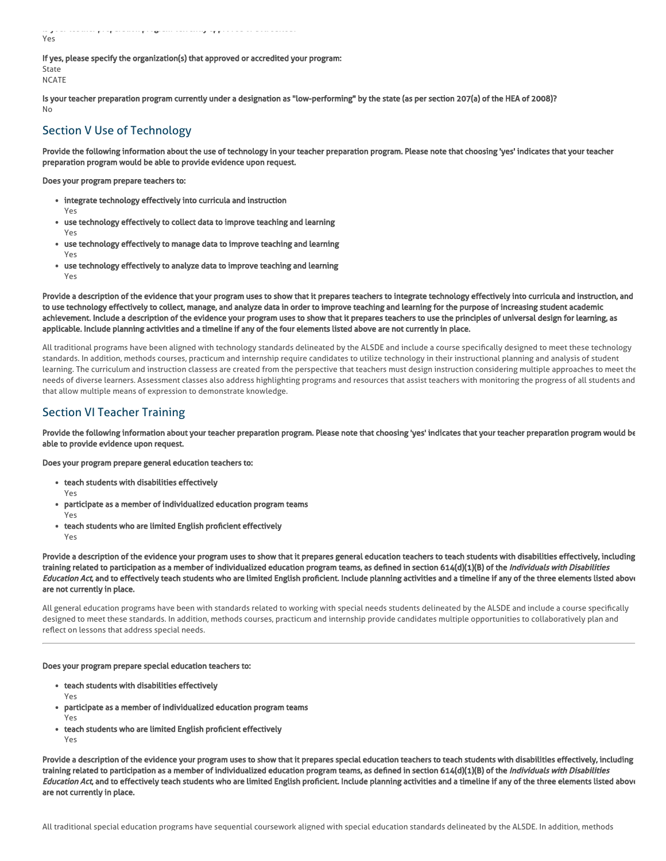Is your teacher preparation program currently approved or accredited? Yes

If yes, please specify the organization(s) that approved or accredited your program: State

**NCATE** 

Yes

Is your teacher preparation program currently under a designation as "low-performing" by the state (as per section 207(a) of the HEA of 2008)? No

# Section V Use of Technology

Provide the following information about the use of technology in your teacher preparation program. Please note that choosing 'yes' indicates that your teacher preparation program would be able to provide evidence upon request.

Does your program prepare teachers to:

- integrate technology effectively into curricula and instruction
- use technology effectively to collect data to improve teaching and learning Yes
- use technology effectively to manage data to improve teaching and learning Yes
- use technology effectively to analyze data to improve teaching and learning Yes

Provide a description of the evidence that your program uses to show that it prepares teachers to integrate technology effectively into curricula and instruction, and to use technology effectively to collect, manage, and analyze data in order to improve teaching and learning for the purpose of increasing student academic achievement. Include a description of the evidence your program uses to show that it prepares teachers to use the principles of universal design for learning, as applicable. Include planning activities and a timeline if any of the four elements listed above are not currently in place.

All traditional programs have been aligned with technology standards delineated by the ALSDE and include a course specifically designed to meet these technology standards. In addition, methods courses, practicum and internship require candidates to utilize technology in their instructional planning and analysis of student learning. The curriculum and instruction classess are created from the perspective that teachers must design instruction considering multiple approaches to meet the needs of diverse learners. Assessment classes also address highlighting programs and resources that assist teachers with monitoring the progress of all students and that allow multiple means of expression to demonstrate knowledge.

# Section VI Teacher Training

Provide the following information about your teacher preparation program. Please note that choosing 'yes' indicates that your teacher preparation program would be able to provide evidence upon request.

Does your program prepare general education teachers to:

- teach students with disabilities effectively
- Yes participate as a member of individualized education program teams
- Yes teach students who are limited English proficient effectively Yes

Provide a description of the evidence your program uses to show that it prepares general education teachers to teach students with disabilities effectively, including training related to participation as a member of individualized education program teams, as defined in section 614(d)(1)(B) of the Individuals with Disabilities Education Act, and to effectively teach students who are limited English proficient. Include planning activities and a timeline if any of the three elements listed above are not currently in place.

All general education programs have been with standards related to working with special needs students delineated by the ALSDE and include a course specifically designed to meet these standards. In addition, methods courses, practicum and internship provide candidates multiple opportunities to collaboratively plan and reflect on lessons that address special needs.

## Does your program prepare special education teachers to:

- teach students with disabilities effectively
	- Yes
- participate as a member of individualized education program teams Yes
- teach students who are limited English proficient effectively Yes

Provide a description of the evidence your program uses to show that it prepares special education teachers to teach students with disabilities effectively, including training related to participation as a member of individualized education program teams, as defined in section 614(d)(1)(B) of the Individuals with Disabilities Education Act, and to effectively teach students who are limited English proficient. Include planning activities and a timeline if any of the three elements listed above are not currently in place.

All traditional special education programs have sequential coursework aligned with special education standards delineated by the ALSDE. In addition, methods